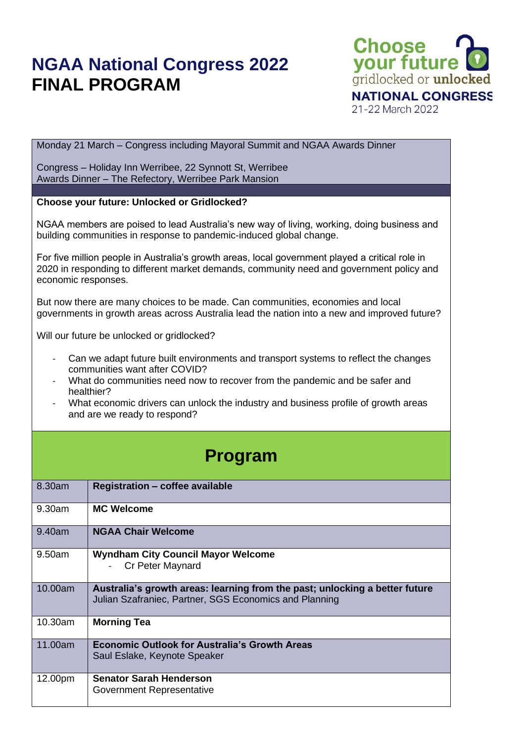## **NGAA National Congress 2022 FINAL PROGRAM**



Monday 21 March – Congress including Mayoral Summit and NGAA Awards Dinner

Congress – Holiday Inn Werribee, 22 Synnott St, Werribee Awards Dinner – The Refectory, Werribee Park Mansion

## **Choose your future: Unlocked or Gridlocked?**

NGAA members are poised to lead Australia's new way of living, working, doing business and building communities in response to pandemic-induced global change.

For five million people in Australia's growth areas, local government played a critical role in 2020 in responding to different market demands, community need and government policy and economic responses.

But now there are many choices to be made. Can communities, economies and local governments in growth areas across Australia lead the nation into a new and improved future?

Will our future be unlocked or gridlocked?

- Can we adapt future built environments and transport systems to reflect the changes communities want after COVID?
- What do communities need now to recover from the pandemic and be safer and healthier?
- What economic drivers can unlock the industry and business profile of growth areas and are we ready to respond?

## **Program**

| 8.30am  | <b>Registration - coffee available</b>                                                                                                |
|---------|---------------------------------------------------------------------------------------------------------------------------------------|
| 9.30am  | <b>MC Welcome</b>                                                                                                                     |
| 9.40am  | <b>NGAA Chair Welcome</b>                                                                                                             |
| 9.50am  | <b>Wyndham City Council Mayor Welcome</b><br>Cr Peter Maynard                                                                         |
| 10.00am | Australia's growth areas: learning from the past; unlocking a better future<br>Julian Szafraniec, Partner, SGS Economics and Planning |
| 10.30am | <b>Morning Tea</b>                                                                                                                    |
| 11.00am | <b>Economic Outlook for Australia's Growth Areas</b><br>Saul Eslake, Keynote Speaker                                                  |
| 12.00pm | <b>Senator Sarah Henderson</b><br>Government Representative                                                                           |